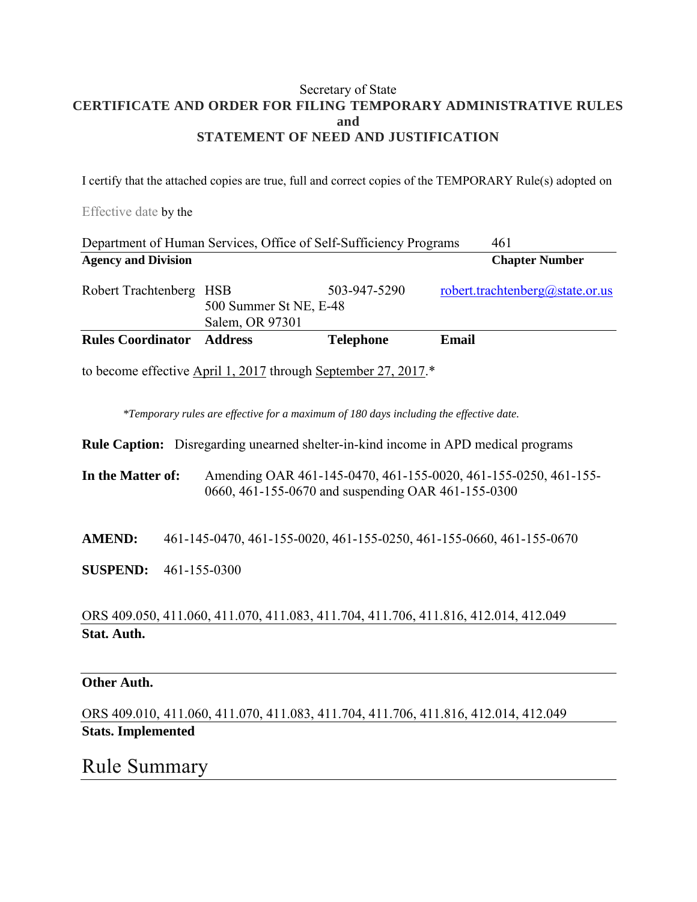### Secretary of State **CERTIFICATE AND ORDER FOR FILING TEMPORARY ADMINISTRATIVE RULES and STATEMENT OF NEED AND JUSTIFICATION**

I certify that the attached copies are true, full and correct copies of the TEMPORARY Rule(s) adopted on

Effective date by the

| Department of Human Services, Office of Self-Sufficiency Programs | 461                                       |                  |                                 |
|-------------------------------------------------------------------|-------------------------------------------|------------------|---------------------------------|
| <b>Agency and Division</b>                                        |                                           |                  | <b>Chapter Number</b>           |
| Robert Trachtenberg HSB                                           | 500 Summer St NE, E-48<br>Salem, OR 97301 | 503-947-5290     | robert.trachtenberg@state.or.us |
| <b>Rules Coordinator</b>                                          | <b>Address</b>                            | <b>Telephone</b> | Email                           |

to become effective April 1, 2017 through September 27, 2017.\*

*\*Temporary rules are effective for a maximum of 180 days including the effective date.*

**Rule Caption:** Disregarding unearned shelter-in-kind income in APD medical programs

**In the Matter of:** Amending OAR 461-145-0470, 461-155-0020, 461-155-0250, 461-155- 0660, 461-155-0670 and suspending OAR 461-155-0300

**AMEND:** 461-145-0470, 461-155-0020, 461-155-0250, 461-155-0660, 461-155-0670

**SUSPEND:** 461-155-0300

ORS 409.050, 411.060, 411.070, 411.083, 411.704, 411.706, 411.816, 412.014, 412.049 **Stat. Auth.** 

#### **Other Auth.**

ORS 409.010, 411.060, 411.070, 411.083, 411.704, 411.706, 411.816, 412.014, 412.049 **Stats. Implemented** 

## Rule Summary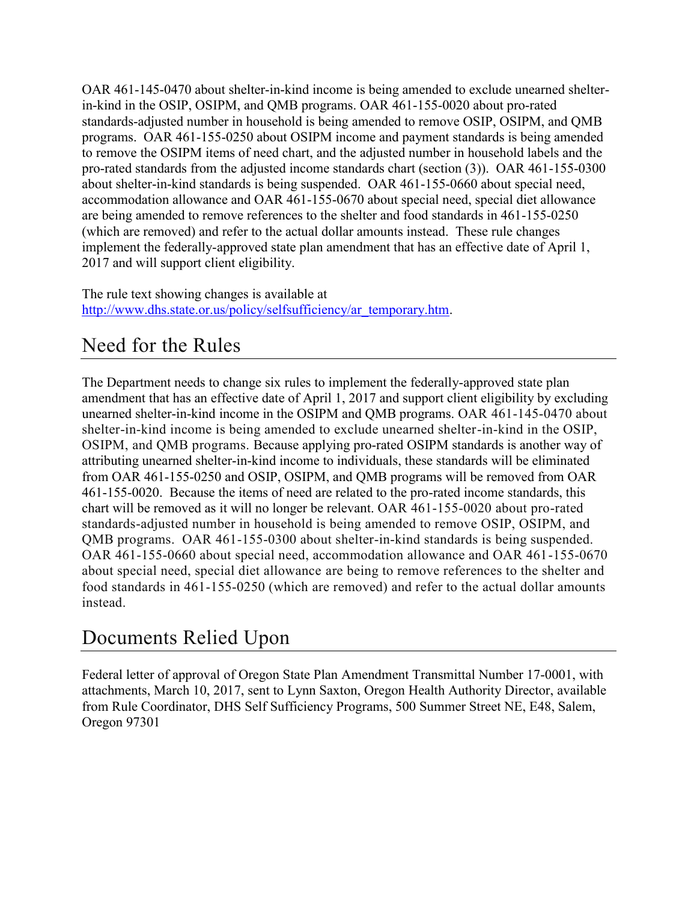OAR 461-145-0470 about shelter-in-kind income is being amended to exclude unearned shelterin-kind in the OSIP, OSIPM, and QMB programs. OAR 461-155-0020 about pro-rated standards-adjusted number in household is being amended to remove OSIP, OSIPM, and QMB programs. OAR 461-155-0250 about OSIPM income and payment standards is being amended to remove the OSIPM items of need chart, and the adjusted number in household labels and the pro-rated standards from the adjusted income standards chart (section (3)). OAR 461-155-0300 about shelter-in-kind standards is being suspended. OAR 461-155-0660 about special need, accommodation allowance and OAR 461-155-0670 about special need, special diet allowance are being amended to remove references to the shelter and food standards in 461-155-0250 (which are removed) and refer to the actual dollar amounts instead. These rule changes implement the federally-approved state plan amendment that has an effective date of April 1, 2017 and will support client eligibility.

The rule text showing changes is available at [http://www.dhs.state.or.us/policy/selfsufficiency/ar\\_temporary.htm.](http://www.dhs.state.or.us/policy/selfsufficiency/ar_temporary.htm)

# Need for the Rules

The Department needs to change six rules to implement the federally-approved state plan amendment that has an effective date of April 1, 2017 and support client eligibility by excluding unearned shelter-in-kind income in the OSIPM and QMB programs. OAR 461-145-0470 about shelter-in-kind income is being amended to exclude unearned shelter-in-kind in the OSIP, OSIPM, and QMB programs. Because applying pro-rated OSIPM standards is another way of attributing unearned shelter-in-kind income to individuals, these standards will be eliminated from OAR 461-155-0250 and OSIP, OSIPM, and QMB programs will be removed from OAR 461-155-0020. Because the items of need are related to the pro-rated income standards, this chart will be removed as it will no longer be relevant. OAR 461-155-0020 about pro-rated standards-adjusted number in household is being amended to remove OSIP, OSIPM, and QMB programs. OAR 461-155-0300 about shelter-in-kind standards is being suspended. OAR 461-155-0660 about special need, accommodation allowance and OAR 461-155-0670 about special need, special diet allowance are being to remove references to the shelter and food standards in 461-155-0250 (which are removed) and refer to the actual dollar amounts instead.

# Documents Relied Upon

Federal letter of approval of Oregon State Plan Amendment Transmittal Number 17-0001, with attachments, March 10, 2017, sent to Lynn Saxton, Oregon Health Authority Director, available from Rule Coordinator, DHS Self Sufficiency Programs, 500 Summer Street NE, E48, Salem, Oregon 97301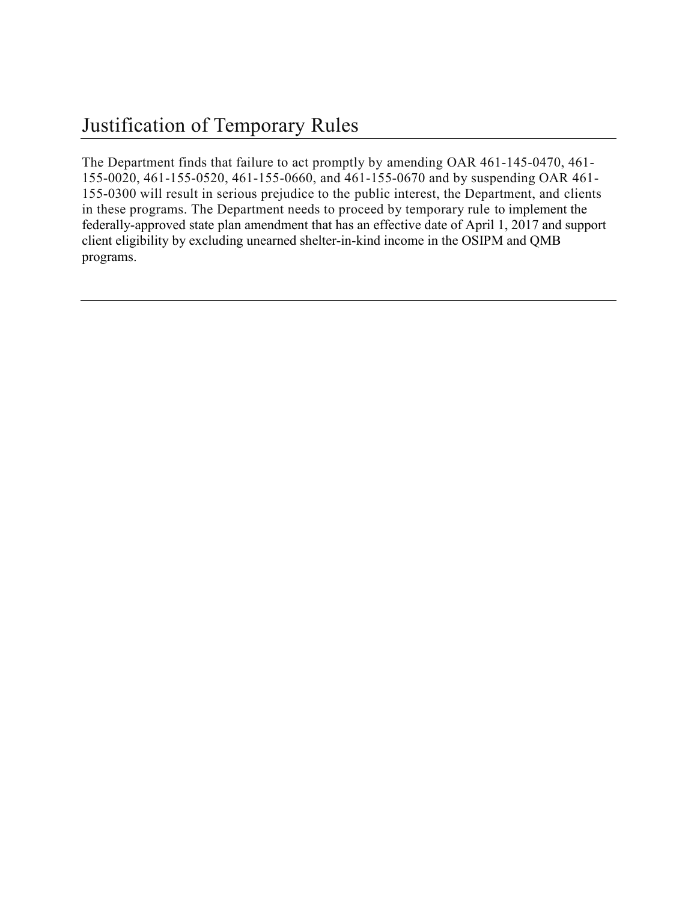The Department finds that failure to act promptly by amending OAR 461-145-0470, 461- 155-0020, 461-155-0520, 461-155-0660, and 461-155-0670 and by suspending OAR 461- 155-0300 will result in serious prejudice to the public interest, the Department, and clients in these programs. The Department needs to proceed by temporary rule to implement the federally-approved state plan amendment that has an effective date of April 1, 2017 and support client eligibility by excluding unearned shelter-in-kind income in the OSIPM and QMB programs.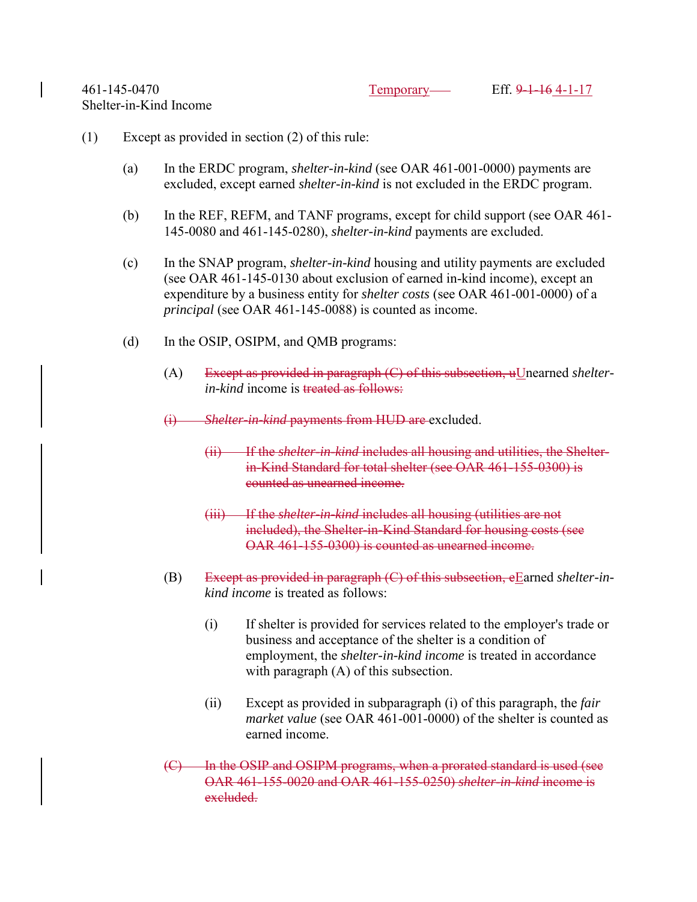### (1) Except as provided in section (2) of this rule:

- (a) In the ERDC program, *shelter-in-kind* (see OAR 461-001-0000) payments are excluded, except earned *shelter-in-kind* is not excluded in the ERDC program.
- (b) In the REF, REFM, and TANF programs, except for child support (see OAR 461- 145-0080 and 461-145-0280), *shelter-in-kind* payments are excluded.
- (c) In the SNAP program, *shelter-in-kind* housing and utility payments are excluded (see OAR 461-145-0130 about exclusion of earned in-kind income), except an expenditure by a business entity for *shelter costs* (see OAR 461-001-0000) of a *principal* (see OAR 461-145-0088) is counted as income.
- (d) In the OSIP, OSIPM, and QMB programs:
	- (A) Except as provided in paragraph (C) of this subsection, uUnearned *shelterin-kind* income is treated as follows:
	- (i) *Shelter-in-kind* payments from HUD are excluded.
		- (ii) If the *shelter-in-kind* includes all housing and utilities, the Shelterin-Kind Standard for total shelter (see OAR 461-155-0300) is counted as unearned income.
		- If the *shelter-in-kind* includes all housing (utilities are not included), the Shelter-in-Kind Standard for housing costs (see OAR 461-155-0300) is counted as unearned income.
	- (B) Except as provided in paragraph (C) of this subsection, eEarned *shelter-inkind income* is treated as follows:
		- (i) If shelter is provided for services related to the employer's trade or business and acceptance of the shelter is a condition of employment, the *shelter-in-kind income* is treated in accordance with paragraph (A) of this subsection.
		- (ii) Except as provided in subparagraph (i) of this paragraph, the *fair market value* (see OAR 461-001-0000) of the shelter is counted as earned income.
	- In the OSIP and OSIPM programs, when a prorated standard is used (see OAR 461-155-0020 and OAR 461-155-0250) *shelter-in-kind* income is excluded.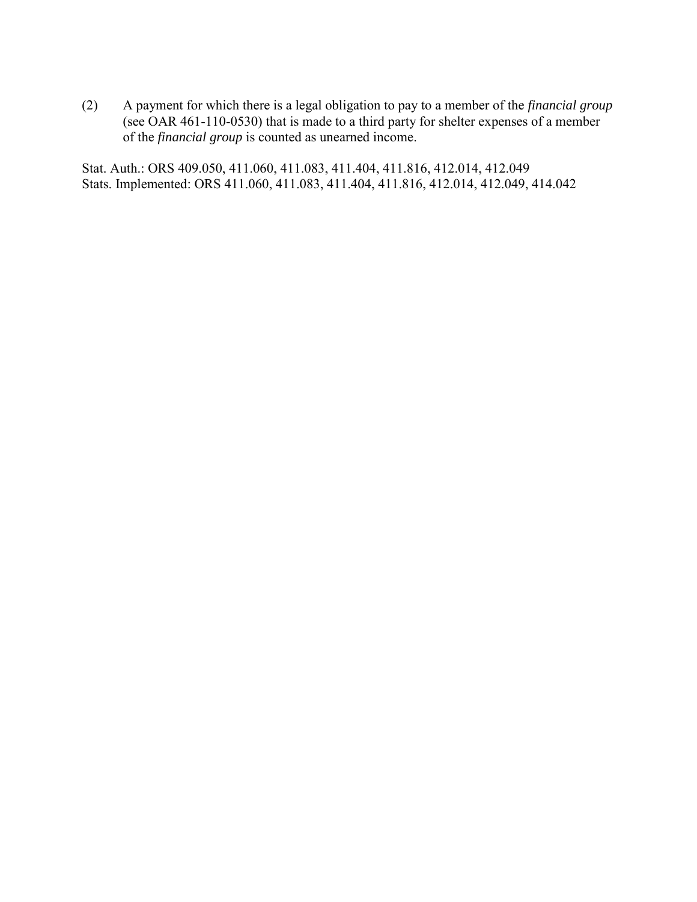(2) A payment for which there is a legal obligation to pay to a member of the *financial group* (see OAR 461-110-0530) that is made to a third party for shelter expenses of a member of the *financial group* is counted as unearned income.

Stat. Auth.: ORS 409.050, 411.060, 411.083, 411.404, 411.816, 412.014, 412.049 Stats. Implemented: ORS 411.060, 411.083, 411.404, 411.816, 412.014, 412.049, 414.042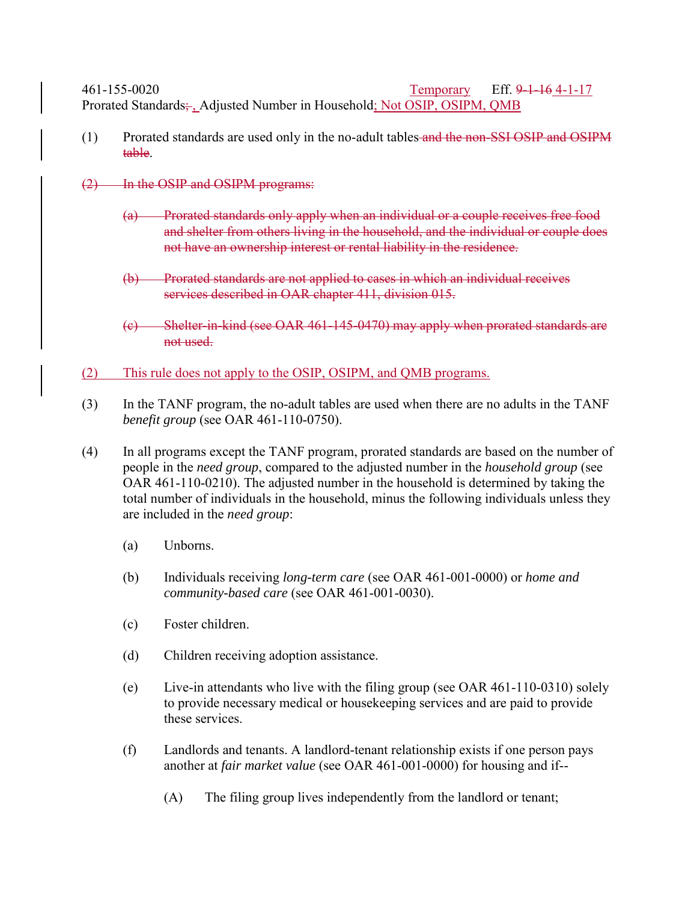461-155-0020 Temporary Eff. 9-1-16 4-1-17 Prorated Standards; Adjusted Number in Household; Not OSIP, OSIPM, QMB

- (1) Prorated standards are used only in the no-adult tables and the non-SSI OSIP and OSIPM table.
- (2) In the OSIP and OSIPM programs:
	- (a) Prorated standards only apply when an individual or a couple receives free food and shelter from others living in the household, and the individual or couple does not have an ownership interest or rental liability in the residence.
	- (b) Prorated standards are not applied to cases in which an individual receives services described in OAR chapter 411, division 015.
	- (c) Shelter-in-kind (see OAR 461-145-0470) may apply when prorated standards are not used.
- (2) This rule does not apply to the OSIP, OSIPM, and QMB programs.
- (3) In the TANF program, the no-adult tables are used when there are no adults in the TANF *benefit group* (see OAR 461-110-0750).
- (4) In all programs except the TANF program, prorated standards are based on the number of people in the *need group*, compared to the adjusted number in the *household group* (see OAR 461-110-0210). The adjusted number in the household is determined by taking the total number of individuals in the household, minus the following individuals unless they are included in the *need group*:
	- (a) Unborns.
	- (b) Individuals receiving *long-term care* (see OAR 461-001-0000) or *home and community-based care* (see OAR 461-001-0030).
	- (c) Foster children.
	- (d) Children receiving adoption assistance.
	- (e) Live-in attendants who live with the filing group (see OAR 461-110-0310) solely to provide necessary medical or housekeeping services and are paid to provide these services.
	- (f) Landlords and tenants. A landlord-tenant relationship exists if one person pays another at *fair market value* (see OAR 461-001-0000) for housing and if--
		- (A) The filing group lives independently from the landlord or tenant;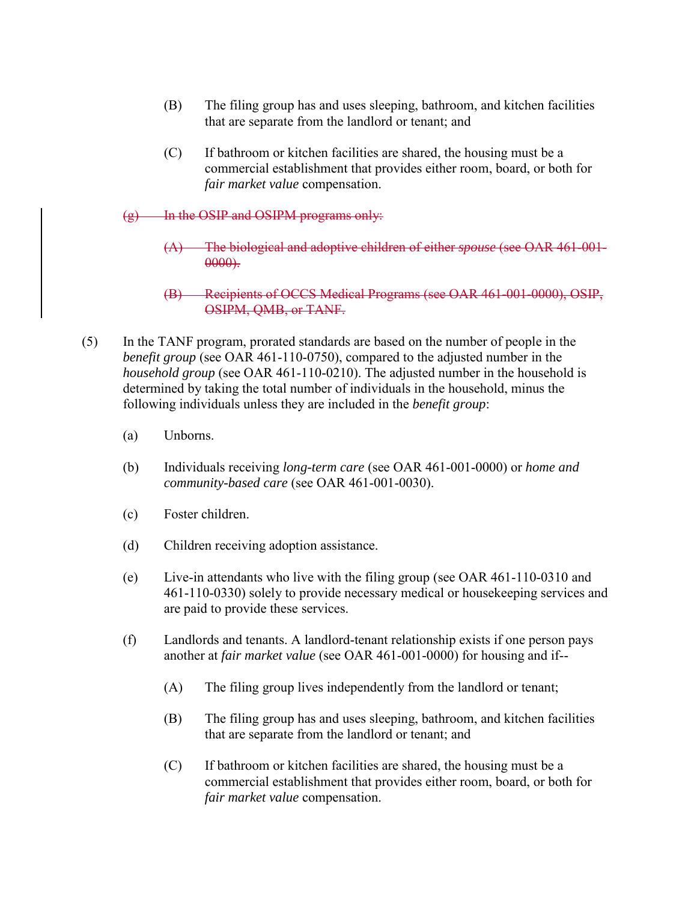- (B) The filing group has and uses sleeping, bathroom, and kitchen facilities that are separate from the landlord or tenant; and
- (C) If bathroom or kitchen facilities are shared, the housing must be a commercial establishment that provides either room, board, or both for *fair market value* compensation.
- (g) In the OSIP and OSIPM programs only:
	- (A) The biological and adoptive children of either *spouse* (see OAR 461-001-  $0000$ ).
	- (B) Recipients of OCCS Medical Programs (see OAR 461-001-0000), OSIP, OSIPM, QMB, or TANF.
- (5) In the TANF program, prorated standards are based on the number of people in the *benefit group* (see OAR 461-110-0750), compared to the adjusted number in the *household group* (see OAR 461-110-0210). The adjusted number in the household is determined by taking the total number of individuals in the household, minus the following individuals unless they are included in the *benefit group*:
	- (a) Unborns.
	- (b) Individuals receiving *long-term care* (see OAR 461-001-0000) or *home and community-based care* (see OAR 461-001-0030).
	- (c) Foster children.
	- (d) Children receiving adoption assistance.
	- (e) Live-in attendants who live with the filing group (see OAR 461-110-0310 and 461-110-0330) solely to provide necessary medical or housekeeping services and are paid to provide these services.
	- (f) Landlords and tenants. A landlord-tenant relationship exists if one person pays another at *fair market value* (see OAR 461-001-0000) for housing and if--
		- (A) The filing group lives independently from the landlord or tenant;
		- (B) The filing group has and uses sleeping, bathroom, and kitchen facilities that are separate from the landlord or tenant; and
		- (C) If bathroom or kitchen facilities are shared, the housing must be a commercial establishment that provides either room, board, or both for *fair market value* compensation.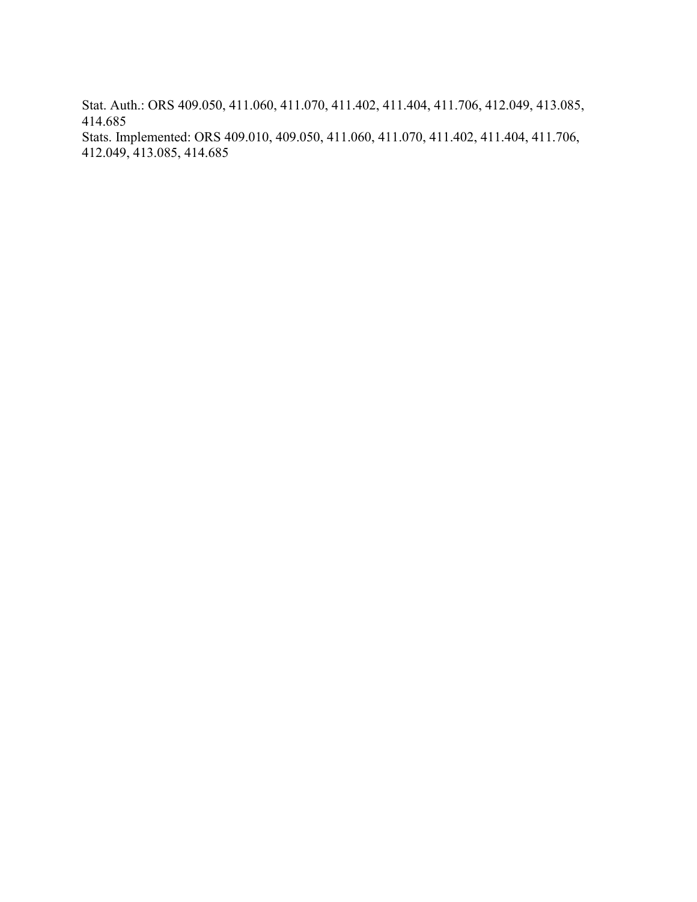Stat. Auth.: ORS 409.050, 411.060, 411.070, 411.402, 411.404, 411.706, 412.049, 413.085, 414.685

Stats. Implemented: ORS 409.010, 409.050, 411.060, 411.070, 411.402, 411.404, 411.706, 412.049, 413.085, 414.685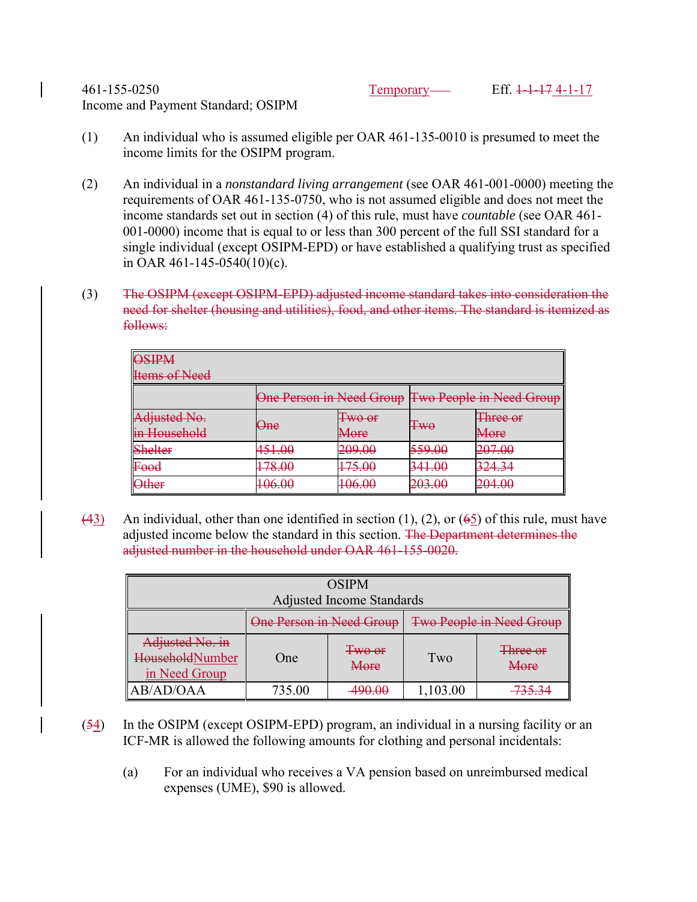461-155-0250 Temporary Eff. 1-1-17 4-1-17 Income and Payment Standard; OSIPM

- (1) An individual who is assumed eligible per OAR 461-135-0010 is presumed to meet the income limits for the OSIPM program.
- (2) An individual in a *nonstandard living arrangement* (see OAR 461-001-0000) meeting the requirements of OAR 461-135-0750, who is not assumed eligible and does not meet the income standards set out in section (4) of this rule, must have *countable* (see OAR 461- 001-0000) income that is equal to or less than 300 percent of the full SSI standard for a single individual (except OSIPM-EPD) or have established a qualifying trust as specified in OAR 461-145-0540(10)(c).
- (3) The OSIPM (except OSIPM-EPD) adjusted income standard takes into consideration the need for shelter (housing and utilities), food, and other items. The standard is itemized as follows:

| $\Omega$ $\Omega$<br><b>UDJIEWI</b><br><b>Items of Need</b>  |        |                                                                    |                                                   |                                                   |  |  |  |  |
|--------------------------------------------------------------|--------|--------------------------------------------------------------------|---------------------------------------------------|---------------------------------------------------|--|--|--|--|
|                                                              |        |                                                                    | One Person in Need Group Two People in Need Group |                                                   |  |  |  |  |
| Adjusted No.<br><u>n Household</u><br><del>m nouschoru</del> | One    | $T_{WQ,AF}$<br><del>I wo oi</del><br>$M$ are<br><del>ivit no</del> | Ŧ₩θ                                               | Throp ar<br><b>THILL AND</b><br>$M$ ora<br>iviuit |  |  |  |  |
| Shelter                                                      | 451 M  | 200 UU                                                             | 550 M                                             | ንስ7 ስስ                                            |  |  |  |  |
|                                                              | 721.VV | <del>201.00</del>                                                  | <del>JJJ.VU</del>                                 | 201.00                                            |  |  |  |  |
| $E_{\text{O}}$                                               | 170 ሰበ | 175 $\Omega$                                                       | 241 $\Omega$                                      | 22121                                             |  |  |  |  |
| rvva                                                         | 170.00 | 172.VV                                                             | <del>JII.vu</del>                                 | 22 T.J                                            |  |  |  |  |
| $)$ ther                                                     | 1በሬ በበ | $\Omega$ $\Omega$                                                  | <u>วกว กก</u>                                     | ንበ <i>ለ</i> ስበ                                    |  |  |  |  |
| $\sigma$ thu                                                 | 100.00 | 100.00                                                             | 203.00                                            | $-01.00$                                          |  |  |  |  |

(43) An individual, other than one identified in section (1), (2), or ( $65$ ) of this rule, must have adjusted income below the standard in this section. The Department determines the adjusted number in the household under OAR 461-155-0020.

| <b>OSIPM</b>                                        |                          |                   |                                 |                  |  |  |  |
|-----------------------------------------------------|--------------------------|-------------------|---------------------------------|------------------|--|--|--|
| <b>Adjusted Income Standards</b>                    |                          |                   |                                 |                  |  |  |  |
|                                                     | One Person in Need Group |                   | <b>Two People in Need Group</b> |                  |  |  |  |
| Adjusted No. in<br>HouseholdNumber<br>in Need Group | One                      | Two or<br>More    | Two                             | Three or<br>More |  |  |  |
| AB/AD/OAA                                           | 735.00                   | <del>490.00</del> | 1,103.00                        | 733.J            |  |  |  |

- $(54)$  In the OSIPM (except OSIPM-EPD) program, an individual in a nursing facility or an ICF-MR is allowed the following amounts for clothing and personal incidentals:
	- (a) For an individual who receives a VA pension based on unreimbursed medical expenses (UME), \$90 is allowed.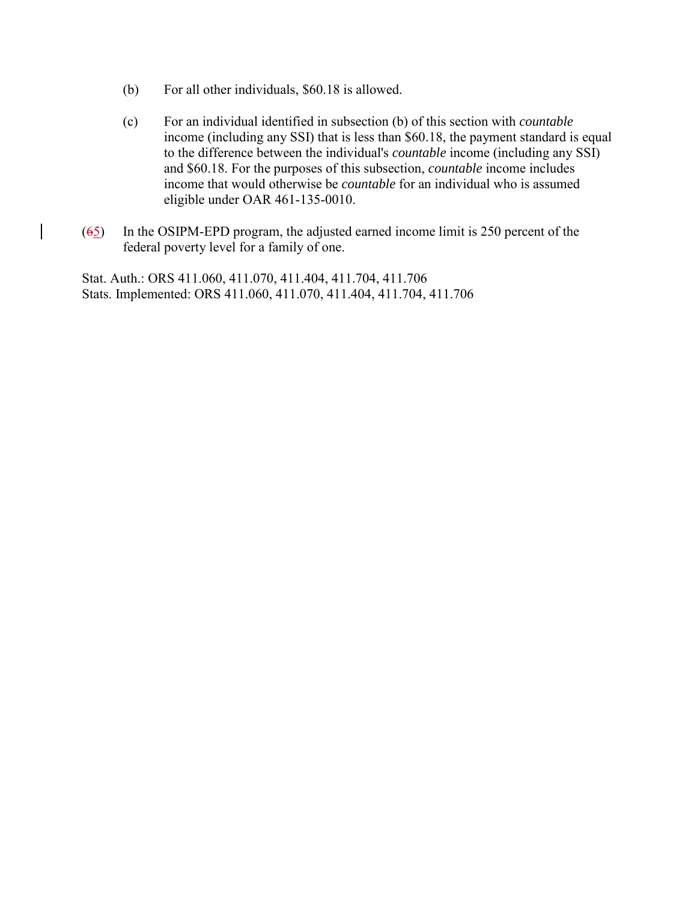- (b) For all other individuals, \$60.18 is allowed.
- (c) For an individual identified in subsection (b) of this section with *countable* income (including any SSI) that is less than \$60.18, the payment standard is equal to the difference between the individual's *countable* income (including any SSI) and \$60.18. For the purposes of this subsection, *countable* income includes income that would otherwise be *countable* for an individual who is assumed eligible under OAR 461-135-0010.
- (65) In the OSIPM-EPD program, the adjusted earned income limit is 250 percent of the federal poverty level for a family of one.

Stat. Auth.: ORS 411.060, 411.070, 411.404, 411.704, 411.706 Stats. Implemented: ORS 411.060, 411.070, 411.404, 411.704, 411.706

 $\overline{\phantom{a}}$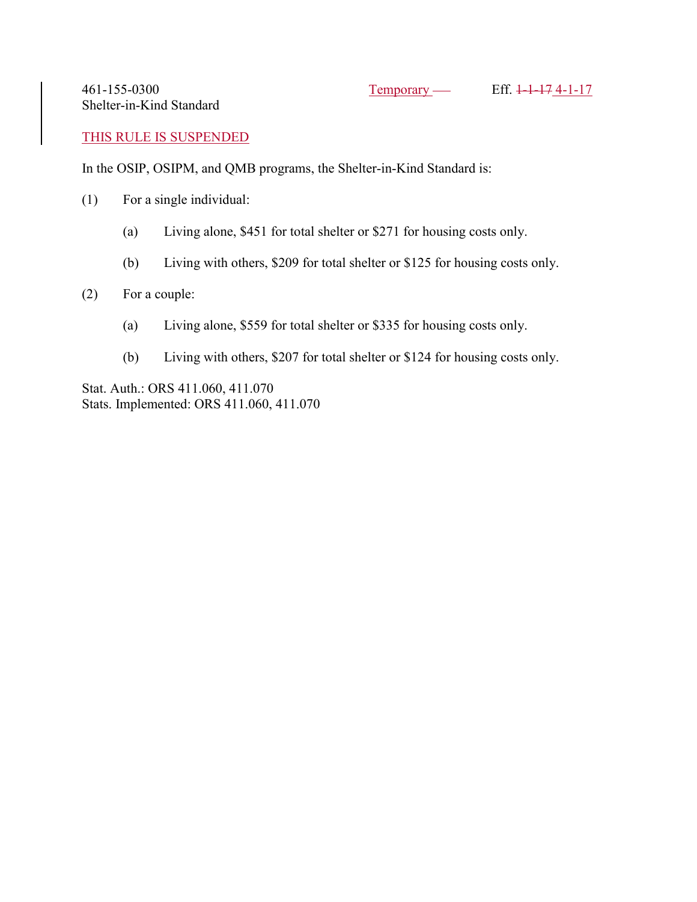461-155-0300 Temporary Eff. 1-1-17 4-1-17 Shelter-in-Kind Standard

THIS RULE IS SUSPENDED

In the OSIP, OSIPM, and QMB programs, the Shelter-in-Kind Standard is:

- (1) For a single individual:
	- (a) Living alone, \$451 for total shelter or \$271 for housing costs only.
	- (b) Living with others, \$209 for total shelter or \$125 for housing costs only.

### (2) For a couple:

- (a) Living alone, \$559 for total shelter or \$335 for housing costs only.
- (b) Living with others, \$207 for total shelter or \$124 for housing costs only.

Stat. Auth.: ORS 411.060, 411.070 Stats. Implemented: ORS 411.060, 411.070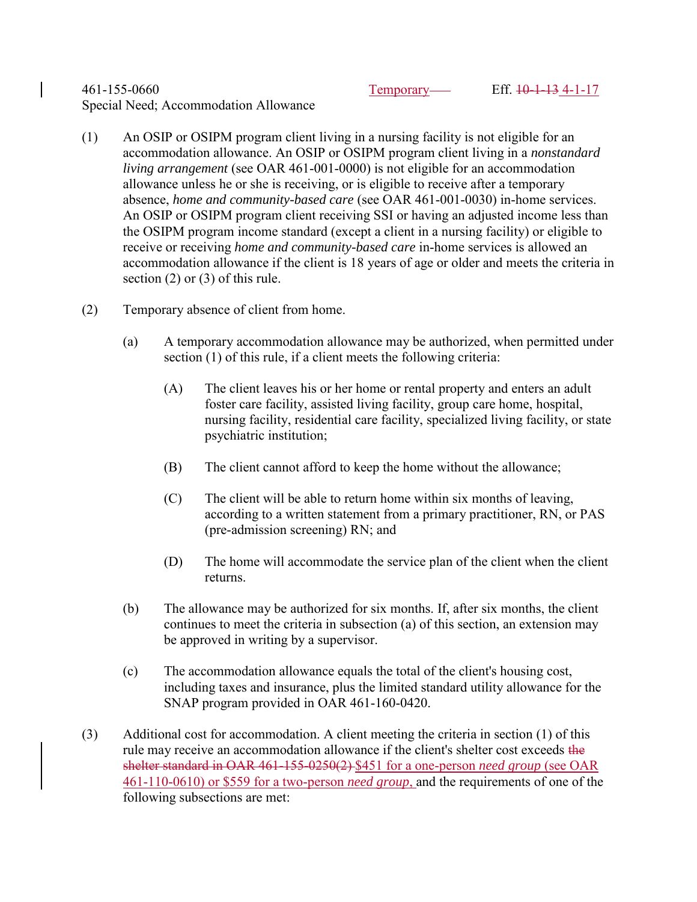### 461-155-0660 Temporary Eff. 10-1-13 4-1-17 Special Need; Accommodation Allowance

- (1) An OSIP or OSIPM program client living in a nursing facility is not eligible for an accommodation allowance. An OSIP or OSIPM program client living in a *nonstandard living arrangement* (see OAR 461-001-0000) is not eligible for an accommodation allowance unless he or she is receiving, or is eligible to receive after a temporary absence, *home and community-based care* (see OAR 461-001-0030) in-home services. An OSIP or OSIPM program client receiving SSI or having an adjusted income less than the OSIPM program income standard (except a client in a nursing facility) or eligible to receive or receiving *home and community-based care* in-home services is allowed an accommodation allowance if the client is 18 years of age or older and meets the criteria in section (2) or (3) of this rule.
- (2) Temporary absence of client from home.
	- (a) A temporary accommodation allowance may be authorized, when permitted under section (1) of this rule, if a client meets the following criteria:
		- (A) The client leaves his or her home or rental property and enters an adult foster care facility, assisted living facility, group care home, hospital, nursing facility, residential care facility, specialized living facility, or state psychiatric institution;
		- (B) The client cannot afford to keep the home without the allowance;
		- (C) The client will be able to return home within six months of leaving, according to a written statement from a primary practitioner, RN, or PAS (pre-admission screening) RN; and
		- (D) The home will accommodate the service plan of the client when the client returns.
	- (b) The allowance may be authorized for six months. If, after six months, the client continues to meet the criteria in subsection (a) of this section, an extension may be approved in writing by a supervisor.
	- (c) The accommodation allowance equals the total of the client's housing cost, including taxes and insurance, plus the limited standard utility allowance for the SNAP program provided in OAR 461-160-0420.
- (3) Additional cost for accommodation. A client meeting the criteria in section (1) of this rule may receive an accommodation allowance if the client's shelter cost exceeds the shelter standard in OAR 461-155-0250(2) \$451 for a one-person *need group* (see OAR 461-110-0610) or \$559 for a two-person *need group*, and the requirements of one of the following subsections are met: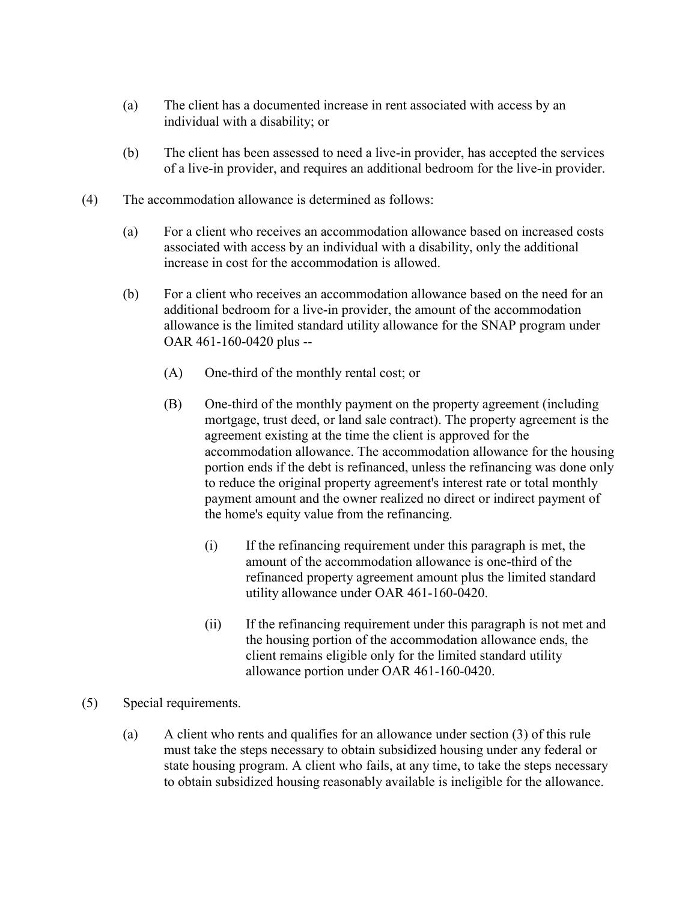- (a) The client has a documented increase in rent associated with access by an individual with a disability; or
- (b) The client has been assessed to need a live-in provider, has accepted the services of a live-in provider, and requires an additional bedroom for the live-in provider.
- (4) The accommodation allowance is determined as follows:
	- (a) For a client who receives an accommodation allowance based on increased costs associated with access by an individual with a disability, only the additional increase in cost for the accommodation is allowed.
	- (b) For a client who receives an accommodation allowance based on the need for an additional bedroom for a live-in provider, the amount of the accommodation allowance is the limited standard utility allowance for the SNAP program under OAR 461-160-0420 plus --
		- (A) One-third of the monthly rental cost; or
		- (B) One-third of the monthly payment on the property agreement (including mortgage, trust deed, or land sale contract). The property agreement is the agreement existing at the time the client is approved for the accommodation allowance. The accommodation allowance for the housing portion ends if the debt is refinanced, unless the refinancing was done only to reduce the original property agreement's interest rate or total monthly payment amount and the owner realized no direct or indirect payment of the home's equity value from the refinancing.
			- (i) If the refinancing requirement under this paragraph is met, the amount of the accommodation allowance is one-third of the refinanced property agreement amount plus the limited standard utility allowance under OAR 461-160-0420.
			- (ii) If the refinancing requirement under this paragraph is not met and the housing portion of the accommodation allowance ends, the client remains eligible only for the limited standard utility allowance portion under OAR 461-160-0420.
- (5) Special requirements.
	- (a) A client who rents and qualifies for an allowance under section (3) of this rule must take the steps necessary to obtain subsidized housing under any federal or state housing program. A client who fails, at any time, to take the steps necessary to obtain subsidized housing reasonably available is ineligible for the allowance.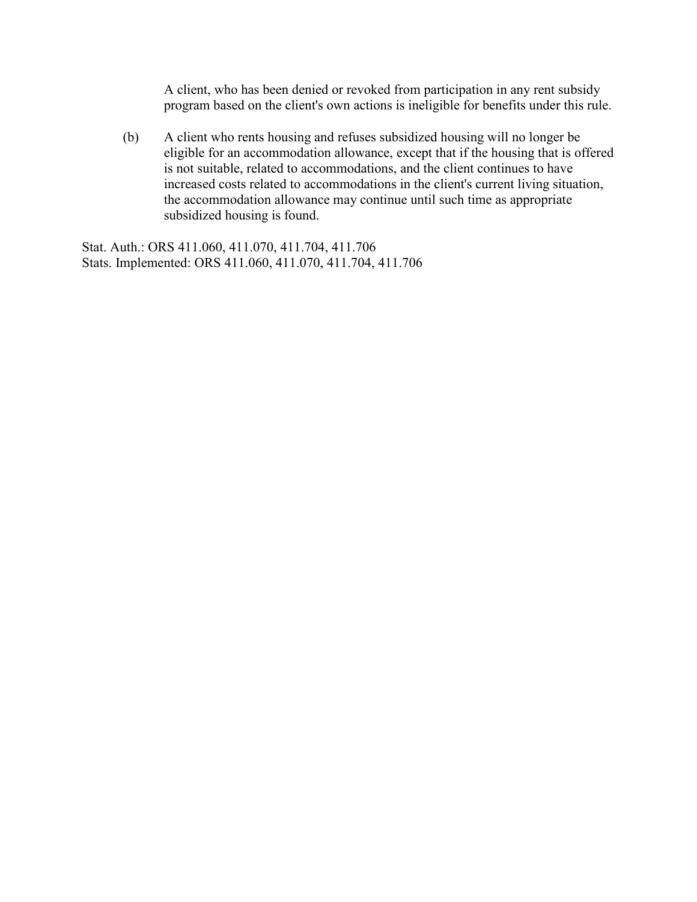A client, who has been denied or revoked from participation in any rent subsidy program based on the client's own actions is ineligible for benefits under this rule.

(b) A client who rents housing and refuses subsidized housing will no longer be eligible for an accommodation allowance, except that if the housing that is offered is not suitable, related to accommodations, and the client continues to have increased costs related to accommodations in the client's current living situation, the accommodation allowance may continue until such time as appropriate subsidized housing is found.

Stat. Auth.: ORS 411.060, 411.070, 411.704, 411.706 Stats. Implemented: ORS 411.060, 411.070, 411.704, 411.706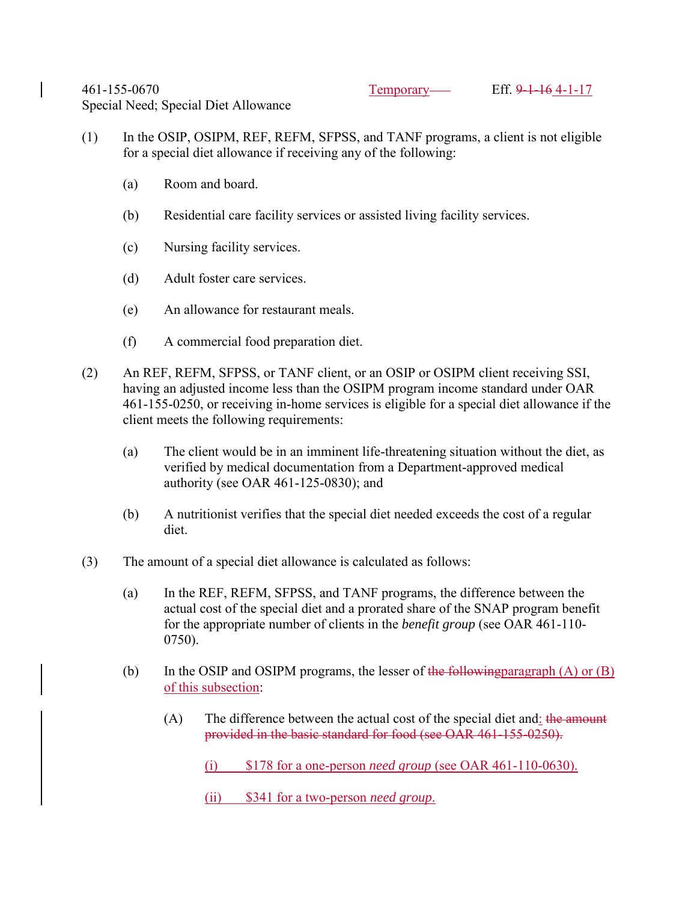- (1) In the OSIP, OSIPM, REF, REFM, SFPSS, and TANF programs, a client is not eligible for a special diet allowance if receiving any of the following:
	- (a) Room and board.
	- (b) Residential care facility services or assisted living facility services.
	- (c) Nursing facility services.
	- (d) Adult foster care services.
	- (e) An allowance for restaurant meals.
	- (f) A commercial food preparation diet.
- (2) An REF, REFM, SFPSS, or TANF client, or an OSIP or OSIPM client receiving SSI, having an adjusted income less than the OSIPM program income standard under OAR 461-155-0250, or receiving in-home services is eligible for a special diet allowance if the client meets the following requirements:
	- (a) The client would be in an imminent life-threatening situation without the diet, as verified by medical documentation from a Department-approved medical authority (see OAR 461-125-0830); and
	- (b) A nutritionist verifies that the special diet needed exceeds the cost of a regular diet.
- (3) The amount of a special diet allowance is calculated as follows:
	- (a) In the REF, REFM, SFPSS, and TANF programs, the difference between the actual cost of the special diet and a prorated share of the SNAP program benefit for the appropriate number of clients in the *benefit group* (see OAR 461-110- 0750).
	- (b) In the OSIP and OSIPM programs, the lesser of the following paragraph  $(A)$  or  $(B)$ of this subsection:
		- (A) The difference between the actual cost of the special diet and: the amount provided in the basic standard for food (see OAR 461-155-0250).
			- (i) \$178 for a one-person *need group* (see OAR 461-110-0630).
			- (ii) \$341 for a two-person *need group*.